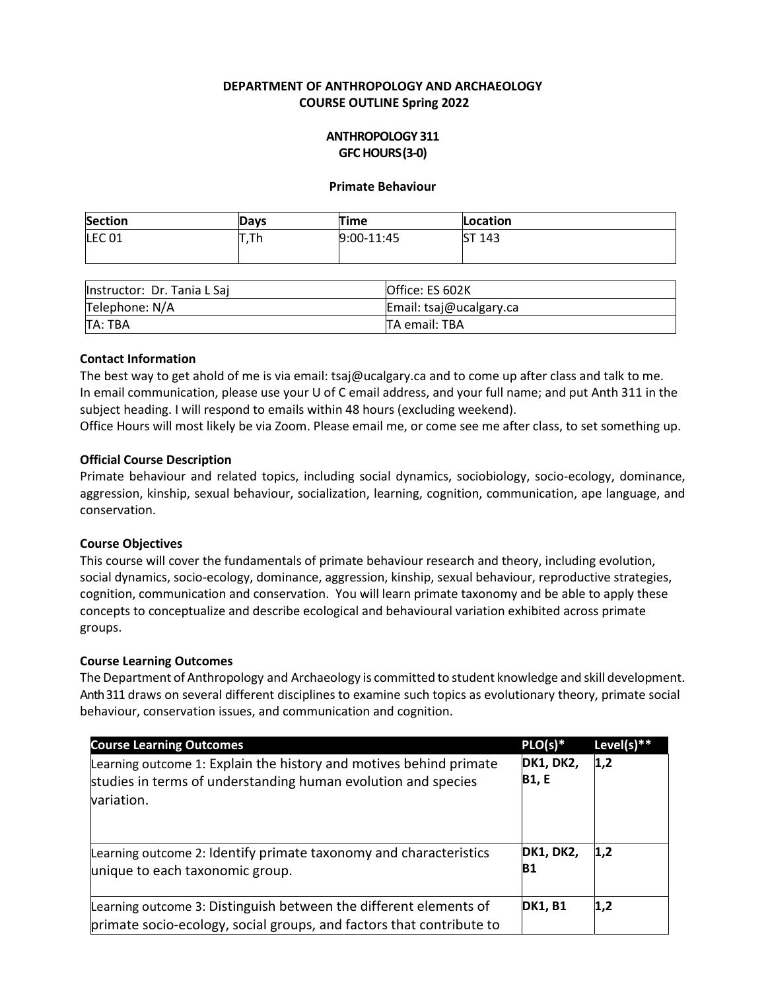## **DEPARTMENT OF ANTHROPOLOGY AND ARCHAEOLOGY COURSE OUTLINE Spring 2022**

## **ANTHROPOLOGY 311 GFC HOURS(3-0)**

#### **Primate Behaviour**

| <b>Section</b>    | Davs    | Time       | Location |
|-------------------|---------|------------|----------|
| LEC <sub>01</sub> | --<br>. | 9:00-11:45 | ST 143   |
|                   |         |            |          |

| Instructor: Dr. Tania L Sai | Office: ES 602K         |
|-----------------------------|-------------------------|
| Telephone: N/A              | Email: tsaj@ucalgary.ca |
| TA: TBA                     | <b>TA email: TBA</b>    |

#### **Contact Information**

The best way to get ahold of me is via email: [tsaj@ucalgary.ca](mailto:tsaj@ucalgary.ca) and to come up after class and talk to me. In email communication, please use your U of C email address, and your full name; and put Anth 311 in the subject heading. I will respond to emails within 48 hours (excluding weekend).

Office Hours will most likely be via Zoom. Please email me, or come see me after class, to set something up.

#### **Official Course Description**

Primate behaviour and related topics, including social dynamics, sociobiology, socio-ecology, dominance, aggression, kinship, sexual behaviour, socialization, learning, cognition, communication, ape language, and conservation.

## **Course Objectives**

This course will cover the fundamentals of primate behaviour research and theory, including evolution, social dynamics, socio-ecology, dominance, aggression, kinship, sexual behaviour, reproductive strategies, cognition, communication and conservation. You will learn primate taxonomy and be able to apply these concepts to conceptualize and describe ecological and behavioural variation exhibited across primate groups.

## **Course Learning Outcomes**

The Department of Anthropology and Archaeology is committed to student knowledge and skill development. Anth 311 draws on several different disciplines to examine such topics as evolutionary theory, primate social behaviour, conservation issues, and communication and cognition.

| <b>Course Learning Outcomes</b>                                                                                                                   | $PLO(s)*$                        | Level(s) $**$ |
|---------------------------------------------------------------------------------------------------------------------------------------------------|----------------------------------|---------------|
| Learning outcome 1: Explain the history and motives behind primate<br>studies in terms of understanding human evolution and species<br>variation. | <b>DK1, DK2,</b><br><b>B1, E</b> | 1,2           |
| Learning outcome 2: Identify primate taxonomy and characteristics<br>unique to each taxonomic group.                                              | <b>DK1, DK2,</b><br><b>B1</b>    | 1,2           |
| Learning outcome 3: Distinguish between the different elements of<br>primate socio-ecology, social groups, and factors that contribute to         | <b>DK1, B1</b>                   | 1,2           |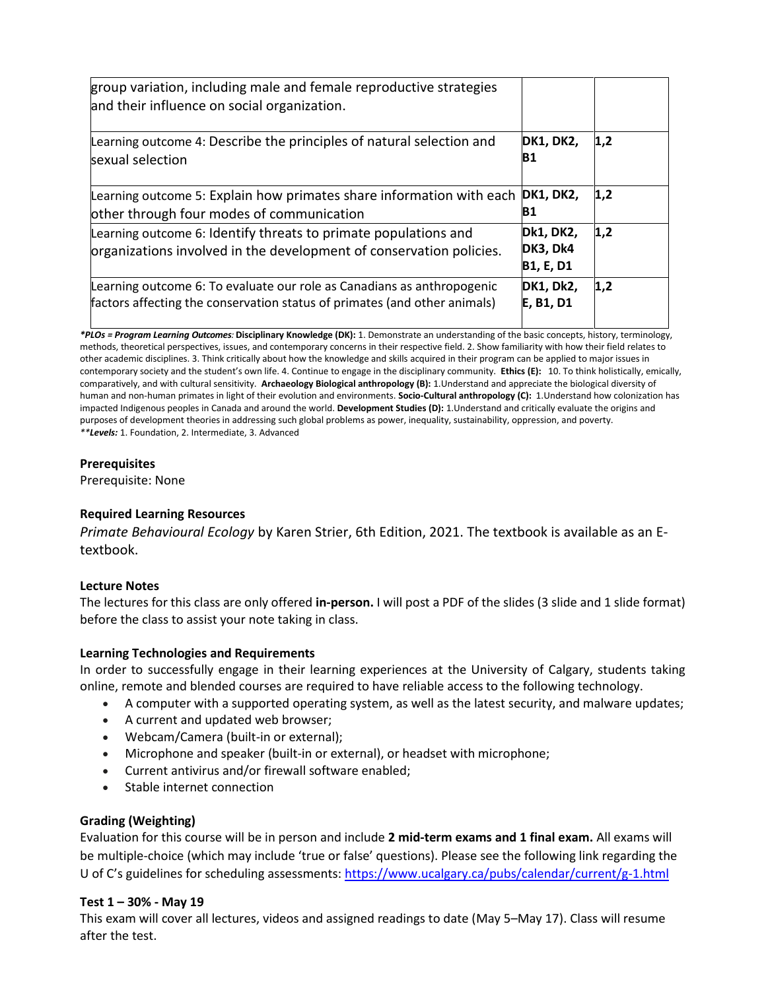| group variation, including male and female reproductive strategies<br>and their influence on social organization.                                   |                                    |     |
|-----------------------------------------------------------------------------------------------------------------------------------------------------|------------------------------------|-----|
| Learning outcome 4: Describe the principles of natural selection and<br>sexual selection                                                            | <b>DK1, DK2,</b><br>B1             | 1,2 |
| Learning outcome 5: Explain how primates share information with each<br>other through four modes of communication                                   | <b>DK1, DK2,</b><br>В1             | 1,2 |
| Learning outcome 6: Identify threats to primate populations and<br>organizations involved in the development of conservation policies.              | Dk1, DK2,<br>DK3, Dk4<br>B1, E, D1 | 1,2 |
| Learning outcome 6: To evaluate our role as Canadians as anthropogenic<br>factors affecting the conservation status of primates (and other animals) | <b>DK1, Dk2,</b><br>E, B1, D1      | 1,2 |

*\*PLOs = Program Learning Outcomes:* **Disciplinary Knowledge (DK):** 1. Demonstrate an understanding of the basic concepts, history, terminology, methods, theoretical perspectives, issues, and contemporary concerns in their respective field. 2. Show familiarity with how their field relates to other academic disciplines. 3. Think critically about how the knowledge and skills acquired in their program can be applied to major issues in contemporary society and the student's own life. 4. Continue to engage in the disciplinary community. **Ethics (E):** 10. To think holistically, emically, comparatively, and with cultural sensitivity. **Archaeology Biological anthropology (B):** 1.Understand and appreciate the biological diversity of human and non-human primates in light of their evolution and environments. **Socio-Cultural anthropology (C):** 1.Understand how colonization has impacted Indigenous peoples in Canada and around the world. **Development Studies (D):** 1.Understand and critically evaluate the origins and purposes of development theories in addressing such global problems as power, inequality, sustainability, oppression, and poverty. *\*\*Levels:* 1. Foundation, 2. Intermediate, 3. Advanced

#### **Prerequisites**

Prerequisite: None

## **Required Learning Resources**

*Primate Behavioural Ecology* by Karen Strier, 6th Edition, 2021. The textbook is available as an Etextbook.

## **Lecture Notes**

The lectures for this class are only offered **in-person.** I will post a PDF of the slides (3 slide and 1 slide format) before the class to assist your note taking in class.

## **Learning Technologies and Requirements**

In order to successfully engage in their learning experiences at the University of Calgary, students taking online, remote and blended courses are required to have reliable access to the following technology.

- A computer with a supported operating system, as well as the latest security, and malware updates;
- A current and updated web browser;
- Webcam/Camera (built-in or external);
- Microphone and speaker (built-in or external), or headset with microphone;
- Current antivirus and/or firewall software enabled;
- Stable internet connection

## **Grading (Weighting)**

Evaluation for this course will be in person and include **2 mid-term exams and 1 final exam.** All exams will be multiple-choice (which may include 'true or false' questions). Please see the following link regarding the U of C's guidelines for scheduling assessments: <https://www.ucalgary.ca/pubs/calendar/current/g-1.html>

#### **Test 1 – 30% - May 19**

This exam will cover all lectures, videos and assigned readings to date (May 5–May 17). Class will resume after the test.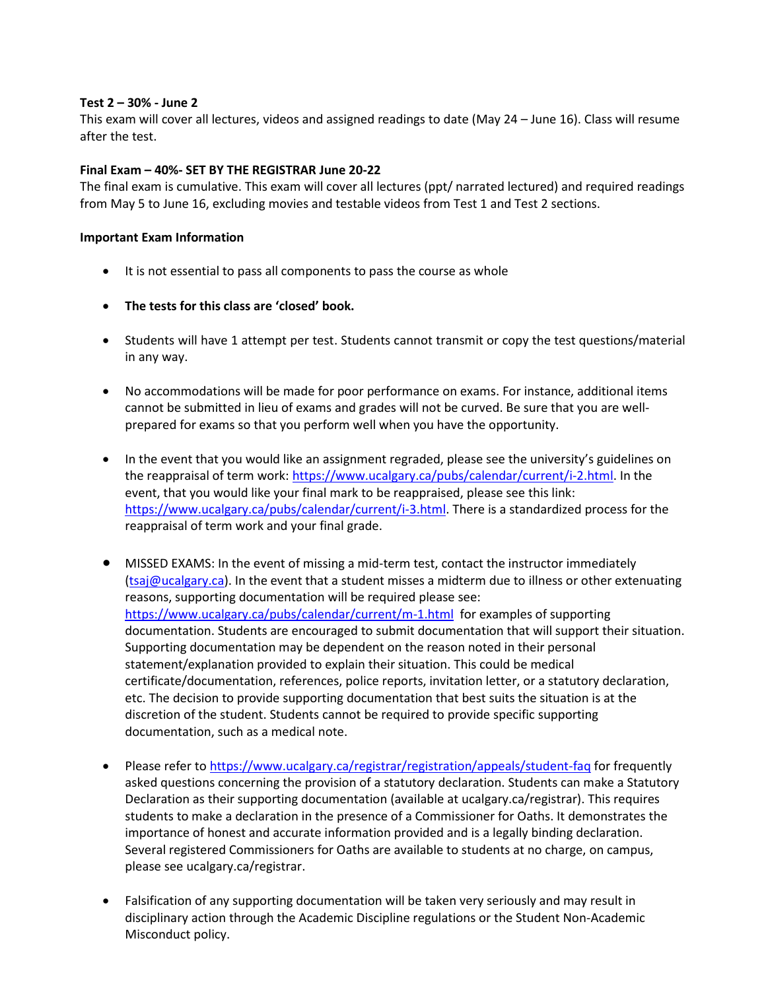## **Test 2 – 30% - June 2**

This exam will cover all lectures, videos and assigned readings to date (May 24 – June 16). Class will resume after the test.

## **Final Exam – 40%- SET BY THE REGISTRAR June 20-22**

The final exam is cumulative. This exam will cover all lectures (ppt/ narrated lectured) and required readings from May 5 to June 16, excluding movies and testable videos from Test 1 and Test 2 sections.

## **Important Exam Information**

- It is not essential to pass all components to pass the course as whole
- **The tests for this class are 'closed' book.**
- Students will have 1 attempt per test. Students cannot transmit or copy the test questions/material in any way.
- No accommodations will be made for poor performance on exams. For instance, additional items cannot be submitted in lieu of exams and grades will not be curved. Be sure that you are wellprepared for exams so that you perform well when you have the opportunity.
- In the event that you would like an assignment regraded, please see the university's guidelines on the reappraisal of term work[: https://www.ucalgary.ca/pubs/calendar/current/i-2.html.](https://www.ucalgary.ca/pubs/calendar/current/i-2.html) In the event, that you would like your final mark to be reappraised, please see this link: [https://www.ucalgary.ca/pubs/calendar/current/i-3.html.](https://www.ucalgary.ca/pubs/calendar/current/i-3.html) There is a standardized process for the reappraisal of term work and your final grade.
- MISSED EXAMS: In the event of missing a mid-term test, contact the instructor immediately [\(tsaj@ucalgary.ca\)](mailto:tsaj@ucalgary.ca). In the event that a student misses a midterm due to illness or other extenuating reasons, supporting documentation will be required please see: <https://www.ucalgary.ca/pubs/calendar/current/m-1.html>for examples of supporting documentation. Students are encouraged to submit documentation that will support their situation. Supporting documentation may be dependent on the reason noted in their personal statement/explanation provided to explain their situation. This could be medical certificate/documentation, references, police reports, invitation letter, or a statutory declaration, etc. The decision to provide supporting documentation that best suits the situation is at the discretion of the student. Students cannot be required to provide specific supporting documentation, such as a medical note.
- Please refer t[o https://www.ucalgary.ca/registrar/registration/appeals/student-faq](https://www.ucalgary.ca/registrar/registration/appeals/student-faq) for frequently asked questions concerning the provision of a statutory declaration. Students can make a Statutory Declaration as their supporting documentation (available at ucalgary.ca/registrar). This requires students to make a declaration in the presence of a Commissioner for Oaths. It demonstrates the importance of honest and accurate information provided and is a legally binding declaration. Several registered Commissioners for Oaths are available to students at no charge, on campus, please see ucalgary.ca/registrar.
- Falsification of any supporting documentation will be taken very seriously and may result in disciplinary action through the Academic Discipline regulations or the Student Non-Academic Misconduct policy.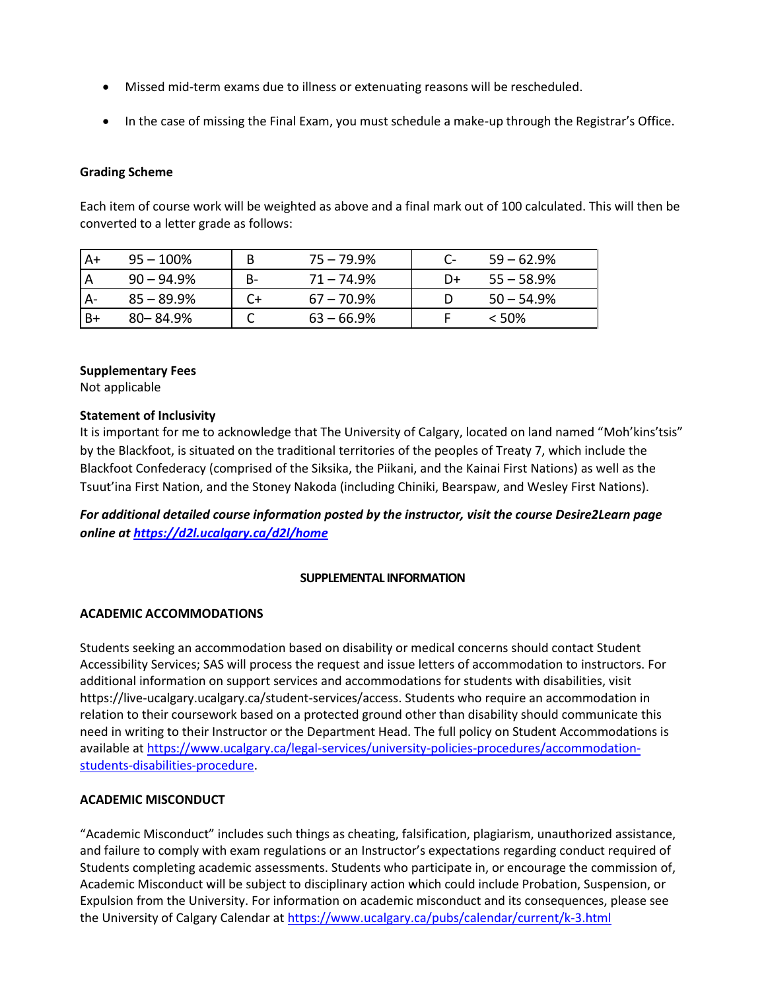- Missed mid-term exams due to illness or extenuating reasons will be rescheduled.
- In the case of missing the Final Exam, you must schedule a make-up through the Registrar's Office.

## **Grading Scheme**

Each item of course work will be weighted as above and a final mark out of 100 calculated. This will then be converted to a letter grade as follows:

| A+   | $95 - 100\%$  |    | $75 - 79.9\%$ | C- | $59 - 62.9\%$ |
|------|---------------|----|---------------|----|---------------|
|      | $90 - 94.9\%$ | B- | $71 - 74.9\%$ | D+ | $55 - 58.9\%$ |
|      | $85 - 89.9%$  |    | $67 - 70.9\%$ |    | $50 - 54.9%$  |
| $B+$ | $80 - 84.9%$  |    | $63 - 66.9\%$ |    | < 50%         |

## **Supplementary Fees**

Not applicable

## **Statement of Inclusivity**

It is important for me to acknowledge that The University of Calgary, located on land named "Moh'kins'tsis" by the Blackfoot, is situated on the traditional territories of the peoples of Treaty 7, which include the Blackfoot Confederacy (comprised of the Siksika, the Piikani, and the Kainai First Nations) as well as the Tsuut'ina First Nation, and the Stoney Nakoda (including Chiniki, Bearspaw, and Wesley First Nations).

*For additional detailed course information posted by the instructor, visit the course Desire2Learn page online at<https://d2l.ucalgary.ca/d2l/home>*

## **SUPPLEMENTAL INFORMATION**

## **ACADEMIC ACCOMMODATIONS**

Students seeking an accommodation based on disability or medical concerns should contact Student Accessibility Services; SAS will process the request and issue letters of accommodation to instructors. For additional information on support services and accommodations for students with disabilities, visit https://live-ucalgary.ucalgary.ca/student-services/access. Students who require an accommodation in relation to their coursework based on a protected ground other than disability should communicate this need in writing to their Instructor or the Department Head. The full policy on Student Accommodations is available a[t https://www.ucalgary.ca/legal-services/university-policies-procedures/accommodation](https://www.ucalgary.ca/legal-services/university-policies-procedures/accommodation-students-disabilities-procedure)[students-disabilities-procedure.](https://www.ucalgary.ca/legal-services/university-policies-procedures/accommodation-students-disabilities-procedure)

## **ACADEMIC MISCONDUCT**

"Academic Misconduct" includes such things as cheating, falsification, plagiarism, unauthorized assistance, and failure to comply with exam regulations or an Instructor's expectations regarding conduct required of Students completing academic assessments. Students who participate in, or encourage the commission of, Academic Misconduct will be subject to disciplinary action which could include Probation, Suspension, or Expulsion from the University. For information on academic misconduct and its consequences, please see the University of Calgary Calendar at<https://www.ucalgary.ca/pubs/calendar/current/k-3.html>